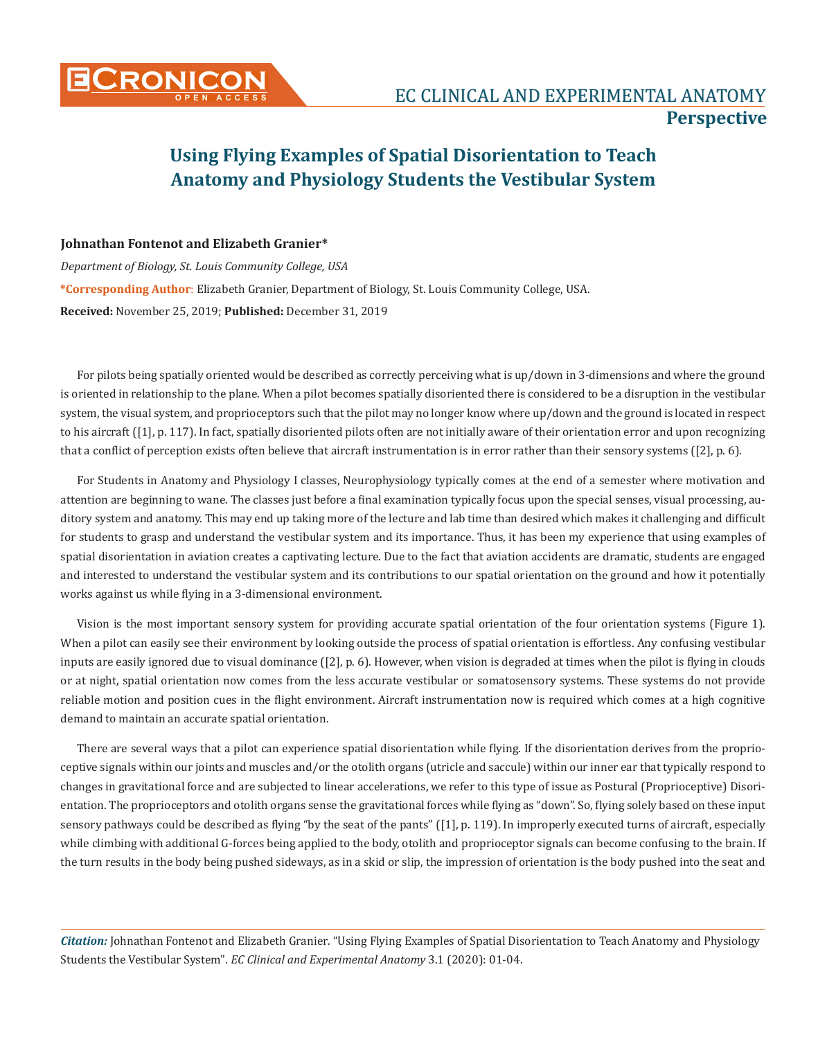

## **Using Flying Examples of Spatial Disorientation to Teach Anatomy and Physiology Students the Vestibular System**

## **Johnathan Fontenot and Elizabeth Granier\***

*Department of Biology, St. Louis Community College, USA* **\*Corresponding Author**: Elizabeth Granier, Department of Biology, St. Louis Community College, USA. **Received:** November 25, 2019; **Published:** December 31, 2019

For pilots being spatially oriented would be described as correctly perceiving what is up/down in 3-dimensions and where the ground is oriented in relationship to the plane. When a pilot becomes spatially disoriented there is considered to be a disruption in the vestibular system, the visual system, and proprioceptors such that the pilot may no longer know where up/down and the ground is located in respect to his aircraft ([1], p. 117). In fact, spatially disoriented pilots often are not initially aware of their orientation error and upon recognizing that a conflict of perception exists often believe that aircraft instrumentation is in error rather than their sensory systems ([2], p. 6).

For Students in Anatomy and Physiology I classes, Neurophysiology typically comes at the end of a semester where motivation and attention are beginning to wane. The classes just before a final examination typically focus upon the special senses, visual processing, auditory system and anatomy. This may end up taking more of the lecture and lab time than desired which makes it challenging and difficult for students to grasp and understand the vestibular system and its importance. Thus, it has been my experience that using examples of spatial disorientation in aviation creates a captivating lecture. Due to the fact that aviation accidents are dramatic, students are engaged and interested to understand the vestibular system and its contributions to our spatial orientation on the ground and how it potentially works against us while flying in a 3-dimensional environment.

Vision is the most important sensory system for providing accurate spatial orientation of the four orientation systems (Figure 1). When a pilot can easily see their environment by looking outside the process of spatial orientation is effortless. Any confusing vestibular inputs are easily ignored due to visual dominance ([2], p. 6). However, when vision is degraded at times when the pilot is flying in clouds or at night, spatial orientation now comes from the less accurate vestibular or somatosensory systems. These systems do not provide reliable motion and position cues in the flight environment. Aircraft instrumentation now is required which comes at a high cognitive demand to maintain an accurate spatial orientation.

There are several ways that a pilot can experience spatial disorientation while flying. If the disorientation derives from the proprioceptive signals within our joints and muscles and/or the otolith organs (utricle and saccule) within our inner ear that typically respond to changes in gravitational force and are subjected to linear accelerations, we refer to this type of issue as Postural (Proprioceptive) Disorientation. The proprioceptors and otolith organs sense the gravitational forces while flying as "down". So, flying solely based on these input sensory pathways could be described as flying "by the seat of the pants" ([1], p. 119). In improperly executed turns of aircraft, especially while climbing with additional G-forces being applied to the body, otolith and proprioceptor signals can become confusing to the brain. If the turn results in the body being pushed sideways, as in a skid or slip, the impression of orientation is the body pushed into the seat and

*Citation:* Johnathan Fontenot and Elizabeth Granier*.* "Using Flying Examples of Spatial Disorientation to Teach Anatomy and Physiology Students the Vestibular System". *EC Clinical and Experimental Anatomy* 3.1 (2020): 01-04.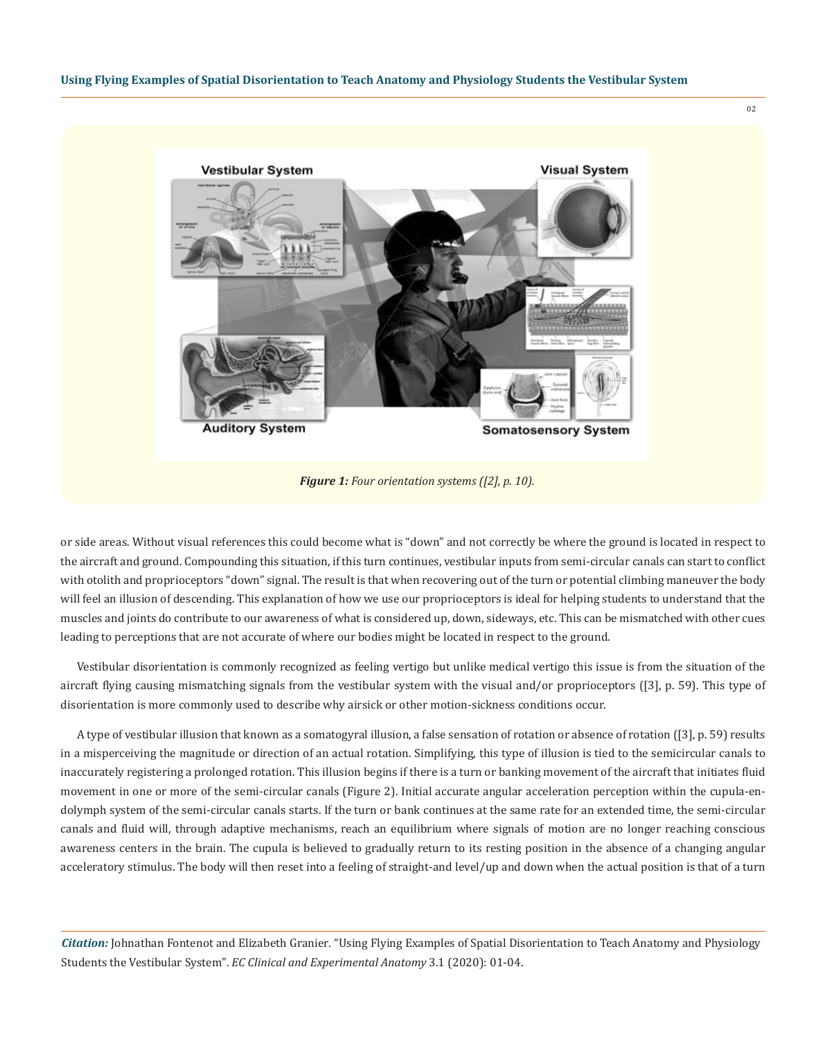

or side areas. Without visual references this could become what is "down" and not correctly be where the ground is located in respect to the aircraft and ground. Compounding this situation, if this turn continues, vestibular inputs from semi-circular canals can start to conflict with otolith and proprioceptors "down" signal. The result is that when recovering out of the turn or potential climbing maneuver the body will feel an illusion of descending. This explanation of how we use our proprioceptors is ideal for helping students to understand that the muscles and joints do contribute to our awareness of what is considered up, down, sideways, etc. This can be mismatched with other cues leading to perceptions that are not accurate of where our bodies might be located in respect to the ground.

Vestibular disorientation is commonly recognized as feeling vertigo but unlike medical vertigo this issue is from the situation of the aircraft flying causing mismatching signals from the vestibular system with the visual and/or proprioceptors ([3], p. 59). This type of disorientation is more commonly used to describe why airsick or other motion-sickness conditions occur.

A type of vestibular illusion that known as a somatogyral illusion, a false sensation of rotation or absence of rotation ([3], p. 59) results in a misperceiving the magnitude or direction of an actual rotation. Simplifying, this type of illusion is tied to the semicircular canals to inaccurately registering a prolonged rotation. This illusion begins if there is a turn or banking movement of the aircraft that initiates fluid movement in one or more of the semi-circular canals (Figure 2). Initial accurate angular acceleration perception within the cupula-endolymph system of the semi-circular canals starts. If the turn or bank continues at the same rate for an extended time, the semi-circular canals and fluid will, through adaptive mechanisms, reach an equilibrium where signals of motion are no longer reaching conscious awareness centers in the brain. The cupula is believed to gradually return to its resting position in the absence of a changing angular acceleratory stimulus. The body will then reset into a feeling of straight-and level/up and down when the actual position is that of a turn

*Citation:* Johnathan Fontenot and Elizabeth Granier*.* "Using Flying Examples of Spatial Disorientation to Teach Anatomy and Physiology Students the Vestibular System". *EC Clinical and Experimental Anatomy* 3.1 (2020): 01-04.

02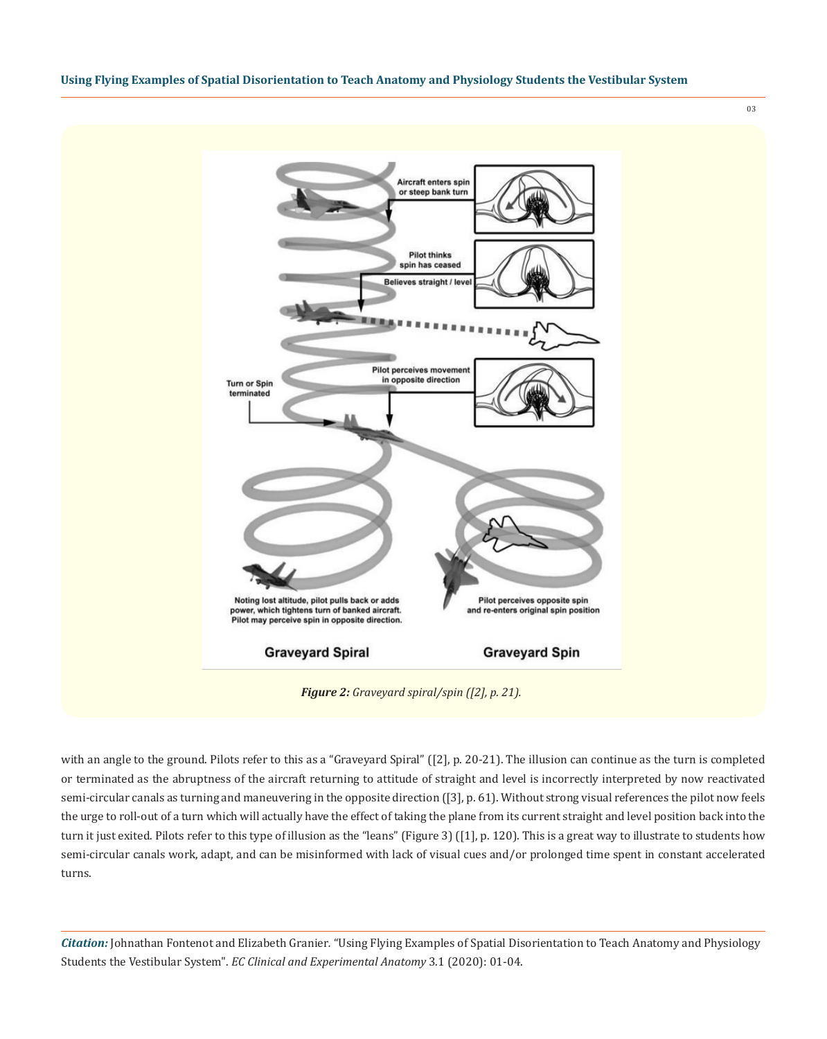**Using Flying Examples of Spatial Disorientation to Teach Anatomy and Physiology Students the Vestibular System**



with an angle to the ground. Pilots refer to this as a "Graveyard Spiral" ([2], p. 20-21). The illusion can continue as the turn is completed or terminated as the abruptness of the aircraft returning to attitude of straight and level is incorrectly interpreted by now reactivated semi-circular canals as turning and maneuvering in the opposite direction ([3], p. 61). Without strong visual references the pilot now feels the urge to roll-out of a turn which will actually have the effect of taking the plane from its current straight and level position back into the turn it just exited. Pilots refer to this type of illusion as the "leans" (Figure 3) ([1], p. 120). This is a great way to illustrate to students how semi-circular canals work, adapt, and can be misinformed with lack of visual cues and/or prolonged time spent in constant accelerated turns.

*Citation:* Johnathan Fontenot and Elizabeth Granier*.* "Using Flying Examples of Spatial Disorientation to Teach Anatomy and Physiology Students the Vestibular System". *EC Clinical and Experimental Anatomy* 3.1 (2020): 01-04.